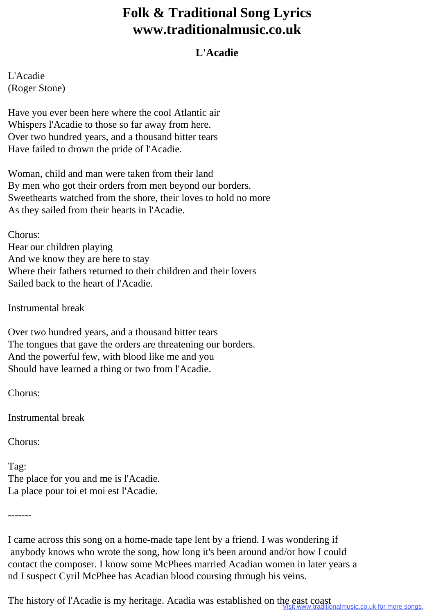## **Folk & Traditional Song Lyrics www.traditionalmusic.co.uk**

## **L'Acadie**

L'Acadie (Roger Stone)

Have you ever been here where the cool Atlantic air Whispers l'Acadie to those so far away from here. Over two hundred years, and a thousand bitter tears Have failed to drown the pride of l'Acadie.

Woman, child and man were taken from their land By men who got their orders from men beyond our borders. Sweethearts watched from the shore, their loves to hold no more As they sailed from their hearts in l'Acadie.

Chorus: Hear our children playing And we know they are here to stay Where their fathers returned to their children and their lovers Sailed back to the heart of l'Acadie.

Instrumental break

Over two hundred years, and a thousand bitter tears The tongues that gave the orders are threatening our borders. And the powerful few, with blood like me and you Should have learned a thing or two from l'Acadie.

Chorus:

Instrumental break

Chorus:

Tag: The place for you and me is l'Acadie. La place pour toi et moi est l'Acadie.

-------

I came across this song on a home-made tape lent by a friend. I was wondering if anybody knows who wrote the song, how long it's been around and/or how I could contact the composer. I know some McPhees married Acadian women in later years a nd I suspect Cyril McPhee has Acadian blood coursing through his veins.

The history of l'Acadie is my heritage. Acadia was established on the east coast inalmusic.co.uk for more songs.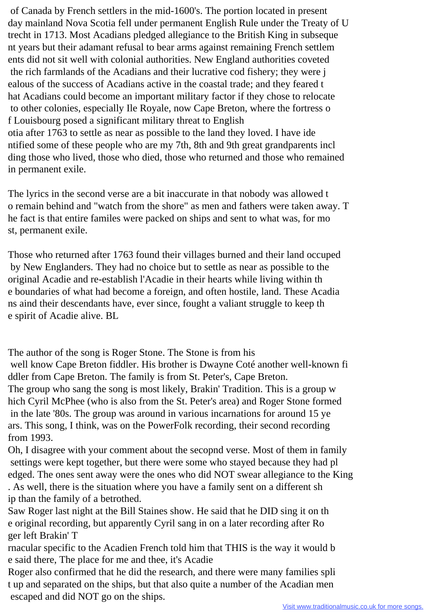of Canada by French settlers in the mid-1600's. The portion located in present day mainland Nova Scotia fell under permanent English Rule under the Treaty of U trecht in 1713. Most Acadians pledged allegiance to the British King in subseque nt years but their adamant refusal to bear arms against remaining French settlem ents did not sit well with colonial authorities. New England authorities coveted the rich farmlands of the Acadians and their lucrative cod fishery; they were j ealous of the success of Acadians active in the coastal trade; and they feared t hat Acadians could become an important military factor if they chose to relocate to other colonies, especially Ile Royale, now Cape Breton, where the fortress o f Louisbourg posed a significant military threat to English otia after 1763 to settle as near as possible to the land they loved. I have ide ntified some of these people who are my 7th, 8th and 9th great grandparents incl ding those who lived, those who died, those who returned and those who remained in permanent exile.

The lyrics in the second verse are a bit inaccurate in that nobody was allowed t o remain behind and "watch from the shore" as men and fathers were taken away. T he fact is that entire familes were packed on ships and sent to what was, for mo st, permanent exile.

Those who returned after 1763 found their villages burned and their land occuped by New Englanders. They had no choice but to settle as near as possible to the original Acadie and re-establish l'Acadie in their hearts while living within th e boundaries of what had become a foreign, and often hostile, land. These Acadia ns aind their descendants have, ever since, fought a valiant struggle to keep th e spirit of Acadie alive. BL

The author of the song is Roger Stone. The Stone is from his well know Cape Breton fiddler. His brother is Dwayne Coté another well-known fi ddler from Cape Breton. The family is from St. Peter's, Cape Breton. The group who sang the song is most likely, Brakin' Tradition. This is a group w hich Cyril McPhee (who is also from the St. Peter's area) and Roger Stone formed in the late '80s. The group was around in various incarnations for around 15 ye ars. This song, I think, was on the PowerFolk recording, their second recording from 1993.

Oh, I disagree with your comment about the secopnd verse. Most of them in family settings were kept together, but there were some who stayed because they had pl edged. The ones sent away were the ones who did NOT swear allegiance to the King . As well, there is the situation where you have a family sent on a different sh ip than the family of a betrothed.

Saw Roger last night at the Bill Staines show. He said that he DID sing it on th e original recording, but apparently Cyril sang in on a later recording after Ro ger left Brakin' T

rnacular specific to the Acadien French told him that THIS is the way it would b e said there, The place for me and thee, it's Acadie

Roger also confirmed that he did the research, and there were many families spli t up and separated on the ships, but that also quite a number of the Acadian men escaped and did NOT go on the ships.